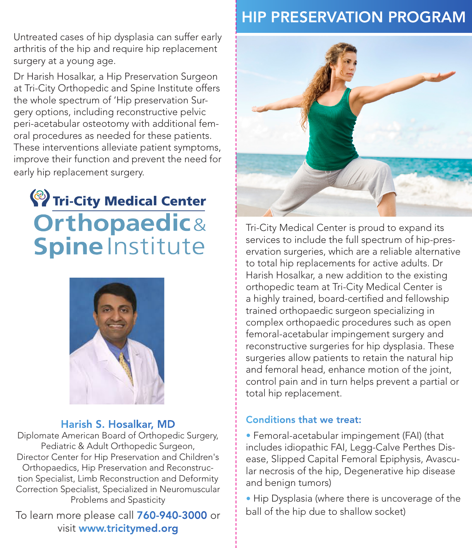Untreated cases of hip dysplasia can suffer early arthritis of the hip and require hip replacement surgery at a young age.

Dr Harish Hosalkar, a Hip Preservation Surgeon at Tri-City Orthopedic and Spine Institute offers the whole spectrum of 'Hip preservation Surgery options, including reconstructive pelvic peri-acetabular osteotomy with additional femoral procedures as needed for these patients. These interventions alleviate patient symptoms, improve their function and prevent the need for early hip replacement surgery.

# <sup>2</sup>/<sub>Tri-City Medical Center</sub> **Orthopaedic& Spine Institute**



#### Harish S. Hosalkar, MD

Diplomate American Board of Orthopedic Surgery, Pediatric & Adult Orthopedic Surgeon, Director Center for Hip Preservation and Children's Orthopaedics, Hip Preservation and Reconstruction Specialist, Limb Reconstruction and Deformity Correction Specialist, Specialized in Neuromuscular Problems and Spasticity

To learn more please call  $760-940-3000$  or  $\frac{1}{2}$  ball of the hip due to shallow socket) visit www.tricitymed.org

# HIP PRESERVATION PROGRAM



Tri-City Medical Center is proud to expand its services to include the full spectrum of hip-preservation surgeries, which are a reliable alternative to total hip replacements for active adults. Dr Harish Hosalkar, a new addition to the existing orthopedic team at Tri-City Medical Center is a highly trained, board-certified and fellowship trained orthopaedic surgeon specializing in complex orthopaedic procedures such as open femoral-acetabular impingement surgery and reconstructive surgeries for hip dysplasia. These surgeries allow patients to retain the natural hip and femoral head, enhance motion of the joint, control pain and in turn helps prevent a partial or total hip replacement.

#### Conditions that we treat:

• Femoral-acetabular impingement (FAI) (that includes idiopathic FAI, Legg-Calve Perthes Disease, Slipped Capital Femoral Epiphysis, Avascular necrosis of the hip, Degenerative hip disease and benign tumors)

• Hip Dysplasia (where there is uncoverage of the